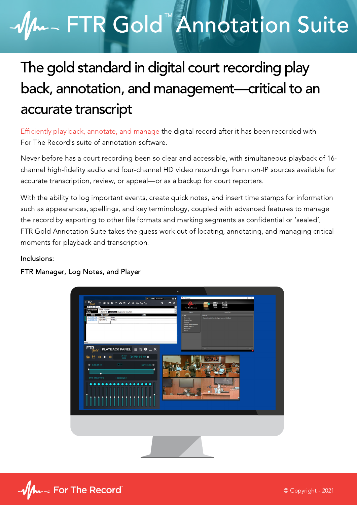# FTR Gold<sup>"</sup> Annotation Suite

### The gold standard in digital court recording play back, annotation, and management—critical to an accurate transcript

Efficiently play back, annotate, and manage the digital record after it has been recorded with For The Record's suite of annotation software.

Never before has a court recording been so clear and accessible, with simultaneous playback of 16 channel high-fidelity audio and four-channel HD video recordings from non-IP sources available for accurate transcription, review, or appeal—or as a backup for court reporters.

With the ability to log important events, create quick notes, and insert time stamps for information such as appearances, spellings, and key terminology, coupled with advanced features to manage the record by exporting to other file formats and marking segments as confidential or 'sealed', FTR Gold Annotation Suite takes the guess work out of locating, annotating, and managing critical moments for playback and transcription.

#### Inclusions:

FTR Manager, Log Notes, and Player